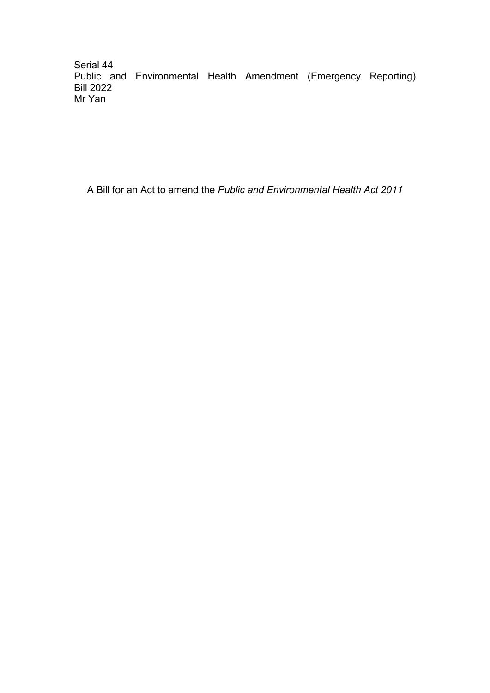Serial 44 Public and Environmental Health Amendment (Emergency Reporting) Bill 2022 Mr Yan

A Bill for an Act to amend the *Public and Environmental Health Act 2011*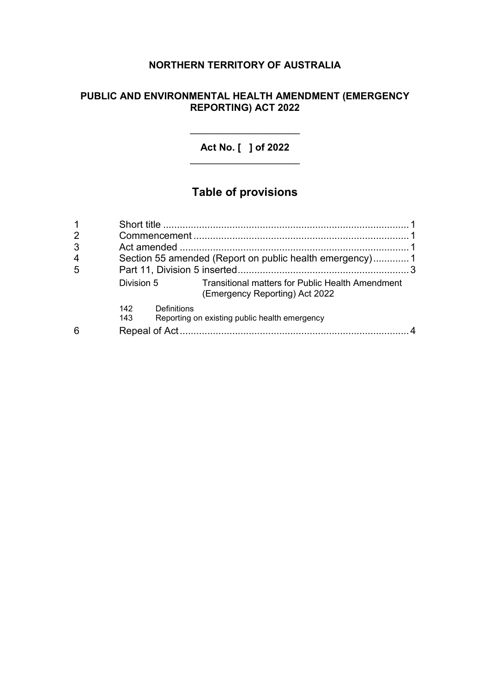# **NORTHERN TERRITORY OF AUSTRALIA**

## **PUBLIC AND ENVIRONMENTAL HEALTH AMENDMENT (EMERGENCY REPORTING) ACT 2022**

**Act No. [ ] of 2022** \_\_\_\_\_\_\_\_\_\_\_\_\_\_\_\_\_\_\_\_

\_\_\_\_\_\_\_\_\_\_\_\_\_\_\_\_\_\_\_\_

# **Table of provisions**

| 1              |            |                                                                                           |  |
|----------------|------------|-------------------------------------------------------------------------------------------|--|
| $\overline{2}$ |            |                                                                                           |  |
| 3              |            |                                                                                           |  |
| 4              |            | Section 55 amended (Report on public health emergency)1                                   |  |
| 5              |            |                                                                                           |  |
|                | Division 5 | <b>Transitional matters for Public Health Amendment</b><br>(Emergency Reporting) Act 2022 |  |
|                | 142<br>143 | Definitions<br>Reporting on existing public health emergency                              |  |
| 6              |            |                                                                                           |  |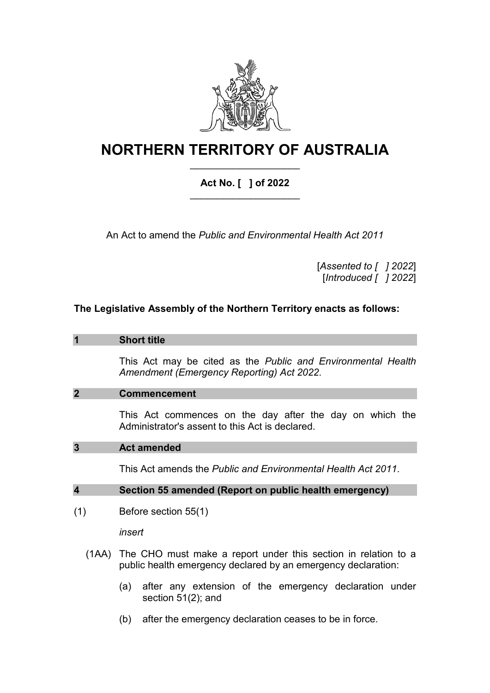

# **NORTHERN TERRITORY OF AUSTRALIA** \_\_\_\_\_\_\_\_\_\_\_\_\_\_\_\_\_\_\_\_

# **Act No. [ ] of 2022** \_\_\_\_\_\_\_\_\_\_\_\_\_\_\_\_\_\_\_\_

An Act to amend the *Public and Environmental Health Act 2011*

[*Assented to [ ] 2022*] [*Introduced [ ] 2022*]

# **The Legislative Assembly of the Northern Territory enacts as follows:**

#### **1 Short title**

This Act may be cited as the *Public and Environmental Health Amendment (Emergency Reporting) Act 2022*.

#### **2 Commencement**

This Act commences on the day after the day on which the Administrator's assent to this Act is declared.

#### **3 Act amended**

This Act amends the *Public and Environmental Health Act 2011*.

#### **4 Section 55 amended (Report on public health emergency)**

(1) Before section 55(1)

*insert*

- (1AA) The CHO must make a report under this section in relation to a public health emergency declared by an emergency declaration:
	- (a) after any extension of the emergency declaration under section 51(2); and
	- (b) after the emergency declaration ceases to be in force.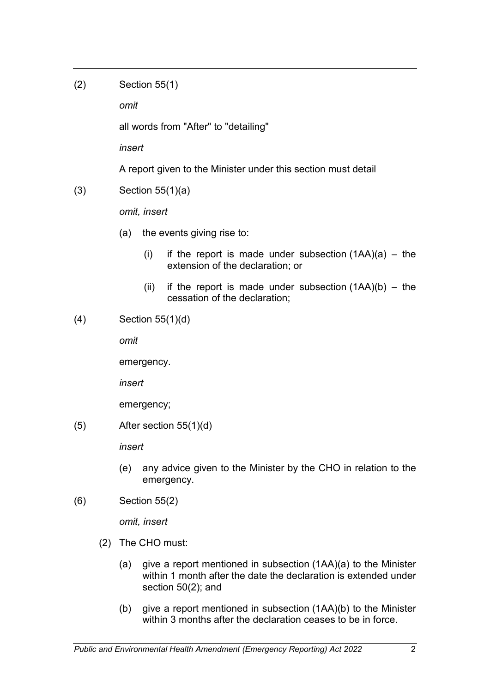(2) Section 55(1)

*omit*

all words from "After" to "detailing"

*insert*

A report given to the Minister under this section must detail

(3) Section 55(1)(a)

*omit, insert*

- (a) the events giving rise to:
	- (i) if the report is made under subsection  $(1AA)(a)$  the extension of the declaration; or
	- (ii) if the report is made under subsection  $(1AA)(b) the$ cessation of the declaration;
- (4) Section 55(1)(d)

*omit*

emergency.

*insert*

emergency;

 $(5)$  After section 55(1)(d)

*insert*

- (e) any advice given to the Minister by the CHO in relation to the emergency.
- (6) Section 55(2)

*omit, insert*

- (2) The CHO must:
	- (a) give a report mentioned in subsection (1AA)(a) to the Minister within 1 month after the date the declaration is extended under section 50(2); and
	- (b) give a report mentioned in subsection (1AA)(b) to the Minister within 3 months after the declaration ceases to be in force.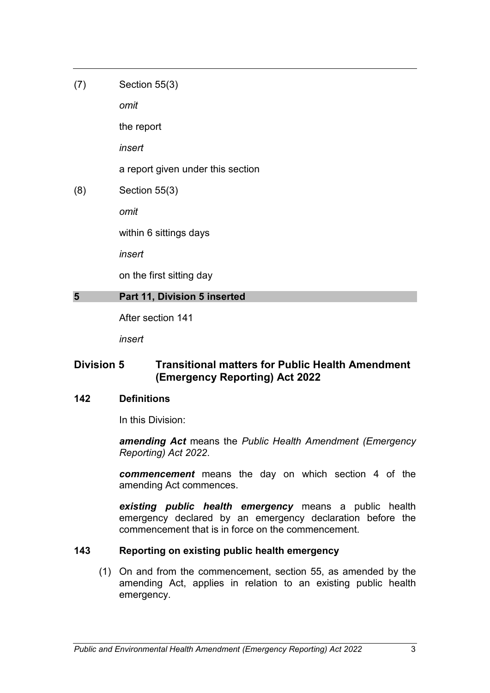(7) Section 55(3)

*omit*

the report

*insert*

a report given under this section

(8) Section 55(3)

*omit*

within 6 sittings days

*insert*

on the first sitting day

### **5 Part 11, Division 5 inserted**

After section 141

*insert*

# **Division 5 Transitional matters for Public Health Amendment (Emergency Reporting) Act 2022**

# **142 Definitions**

In this Division:

*amending Act* means the *Public Health Amendment (Emergency Reporting) Act 2022*.

*commencement* means the day on which section 4 of the amending Act commences.

*existing public health emergency* means a public health emergency declared by an emergency declaration before the commencement that is in force on the commencement.

# **143 Reporting on existing public health emergency**

(1) On and from the commencement, section 55, as amended by the amending Act, applies in relation to an existing public health emergency.